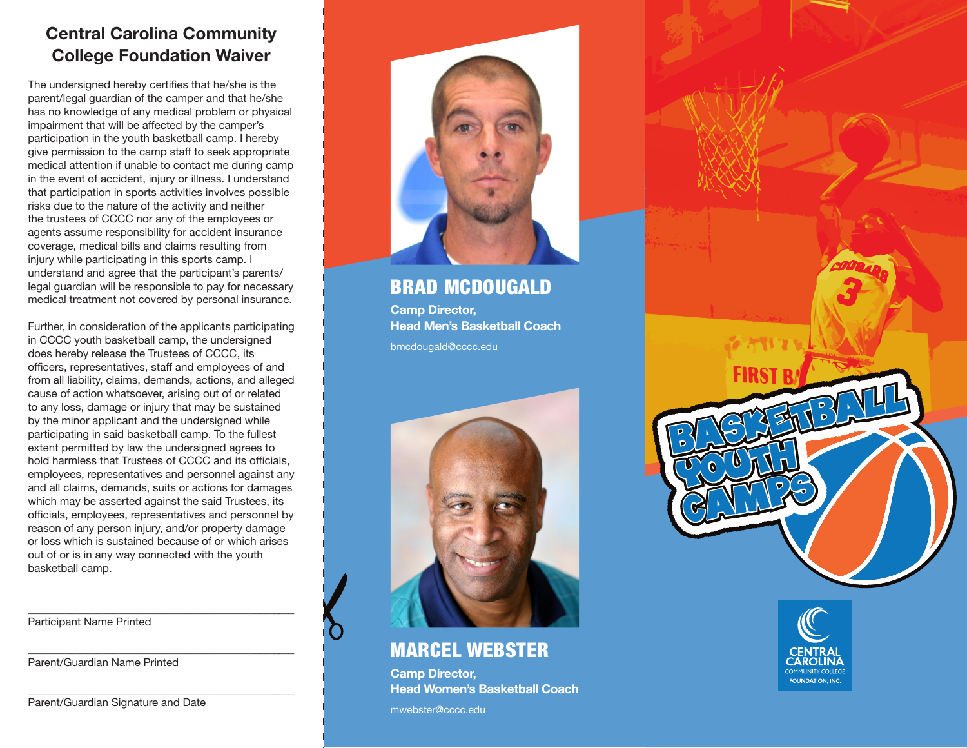## **Central Carolina Community College Foundation Waiver**

The undersigned hereby certifies that he/she is the parent/legal guardian of the camper and that he/she has no knowledge of any medical problem or physical impairment that will be affected by the camper's participation in the youth basketball camp. I hereby give permission to the camp staff to seek appropriate medical attention if unable to contact me during camp in the event of accident, injury or illness. I understand that participation in sports activities involves possible risks due to the nature of the activity and neither the trustees of CCCC nor any of the employees or agents assume responsibility for accident insurance coverage, medical bills and claims resulting from injury while participating in this sports camp. I understand and agree that the participant's parents/ legal guardian will be responsible to pay for necessary medical treatment not covered by personal insurance.

Further, in consideration of the applicants participating in CCCC youth basketball camp, the undersigned does hereby release the Trustees of CCCC, its officers, representatives, staff and employees of and from all liability, claims, demands, actions, and alleged cause of action whatsoever, arising out of or related to any loss, damage or injury that may be sustained by the minor applicant and the undersigned while participating in said basketball camp. To the fullest extent permitted by law the undersigned agrees to hold harmless that Trustees of CCCC and its officials, employees, representatives and personnel against any and all claims, demands, suits or actions for damages which may be asserted against the said Trustees, its officials, employees, representatives and personnel by reason of any person injury, and/or property damage or loss which is sustained because of or which arises out of or is in any way connected with the youth basketball camp.

\_\_\_\_\_\_\_\_\_\_\_\_\_\_\_\_\_\_\_\_\_\_\_\_\_\_\_\_\_\_\_\_\_\_\_\_\_\_\_\_\_\_\_\_\_\_\_\_\_\_ Participant Name Printed

\_\_\_\_\_\_\_\_\_\_\_\_\_\_\_\_\_\_\_\_\_\_\_\_\_\_\_\_\_\_\_\_\_\_\_\_\_\_\_\_\_\_\_\_\_\_\_\_\_\_ Parent/Guardian Name Printed

Parent/Guardian Signature and Date

\_\_\_\_\_\_\_\_\_\_\_\_\_\_\_\_\_\_\_\_\_\_\_\_\_\_\_\_\_\_\_\_\_\_\_\_\_\_\_\_\_\_\_\_\_\_\_\_\_\_



BRAD MCDOUGALD

**Camp Director, Head Men's Basketball Coach** bmcdougald@cccc.edu



### MARCEL WEBSTER

**Camp Director, Head Women's Basketball Coach**

mwebster@cccc.edu